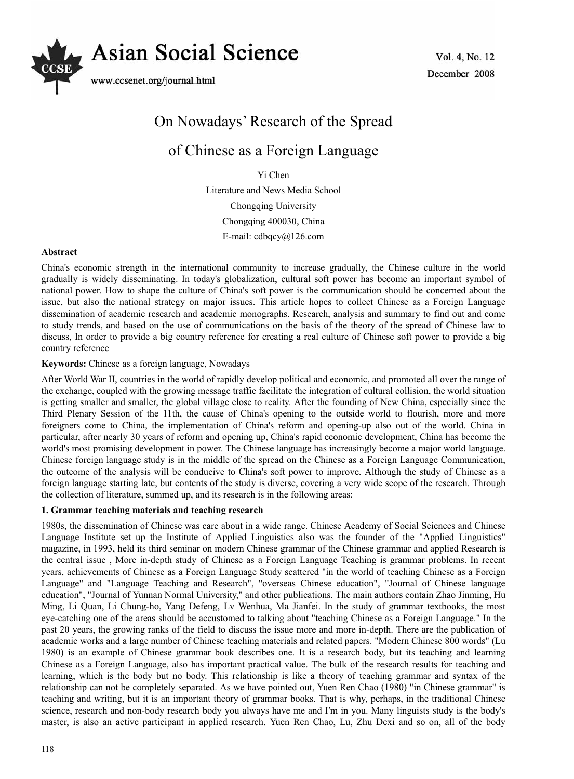

Vol. 4, No. 12 December 2008

# On Nowadays' Research of the Spread of Chinese as a Foreign Language

Yi Chen

Literature and News Media School Chongqing University Chongqing 400030, China E-mail: cdbqcy@126.com

## **Abstract**

China's economic strength in the international community to increase gradually, the Chinese culture in the world gradually is widely disseminating. In today's globalization, cultural soft power has become an important symbol of national power. How to shape the culture of China's soft power is the communication should be concerned about the issue, but also the national strategy on major issues. This article hopes to collect Chinese as a Foreign Language dissemination of academic research and academic monographs. Research, analysis and summary to find out and come to study trends, and based on the use of communications on the basis of the theory of the spread of Chinese law to discuss, In order to provide a big country reference for creating a real culture of Chinese soft power to provide a big country reference

## **Keywords:** Chinese as a foreign language, Nowadays

After World War II, countries in the world of rapidly develop political and economic, and promoted all over the range of the exchange, coupled with the growing message traffic facilitate the integration of cultural collision, the world situation is getting smaller and smaller, the global village close to reality. After the founding of New China, especially since the Third Plenary Session of the 11th, the cause of China's opening to the outside world to flourish, more and more foreigners come to China, the implementation of China's reform and opening-up also out of the world. China in particular, after nearly 30 years of reform and opening up, China's rapid economic development, China has become the world's most promising development in power. The Chinese language has increasingly become a major world language. Chinese foreign language study is in the middle of the spread on the Chinese as a Foreign Language Communication, the outcome of the analysis will be conducive to China's soft power to improve. Although the study of Chinese as a foreign language starting late, but contents of the study is diverse, covering a very wide scope of the research. Through the collection of literature, summed up, and its research is in the following areas:

## **1. Grammar teaching materials and teaching research**

1980s, the dissemination of Chinese was care about in a wide range. Chinese Academy of Social Sciences and Chinese Language Institute set up the Institute of Applied Linguistics also was the founder of the "Applied Linguistics" magazine, in 1993, held its third seminar on modern Chinese grammar of the Chinese grammar and applied Research is the central issue , More in-depth study of Chinese as a Foreign Language Teaching is grammar problems. In recent years, achievements of Chinese as a Foreign Language Study scattered "in the world of teaching Chinese as a Foreign Language" and "Language Teaching and Research", "overseas Chinese education", "Journal of Chinese language education", "Journal of Yunnan Normal University," and other publications. The main authors contain Zhao Jinming, Hu Ming, Li Quan, Li Chung-ho, Yang Defeng, Lv Wenhua, Ma Jianfei. In the study of grammar textbooks, the most eye-catching one of the areas should be accustomed to talking about "teaching Chinese as a Foreign Language." In the past 20 years, the growing ranks of the field to discuss the issue more and more in-depth. There are the publication of academic works and a large number of Chinese teaching materials and related papers. "Modern Chinese 800 words" (Lu 1980) is an example of Chinese grammar book describes one. It is a research body, but its teaching and learning Chinese as a Foreign Language, also has important practical value. The bulk of the research results for teaching and learning, which is the body but no body. This relationship is like a theory of teaching grammar and syntax of the relationship can not be completely separated. As we have pointed out, Yuen Ren Chao (1980) "in Chinese grammar" is teaching and writing, but it is an important theory of grammar books. That is why, perhaps, in the traditional Chinese science, research and non-body research body you always have me and I'm in you. Many linguists study is the body's master, is also an active participant in applied research. Yuen Ren Chao, Lu, Zhu Dexi and so on, all of the body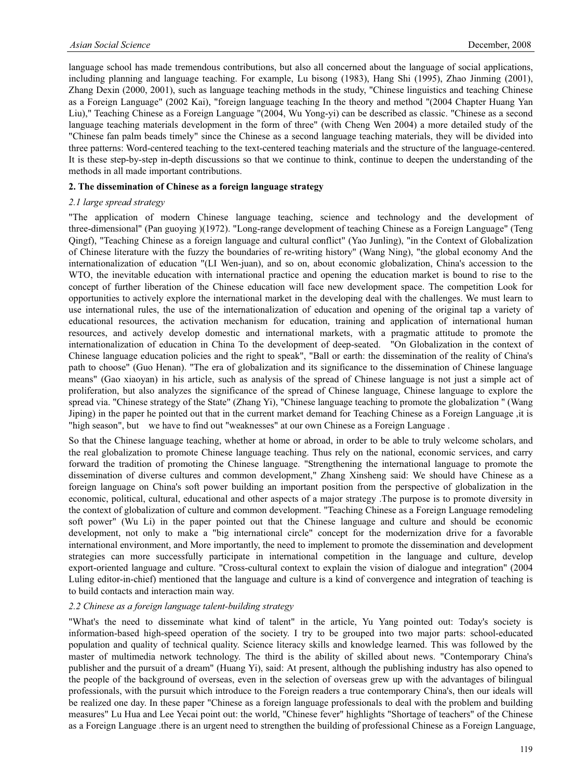language school has made tremendous contributions, but also all concerned about the language of social applications, including planning and language teaching. For example, Lu bisong (1983), Hang Shi (1995), Zhao Jinming (2001), Zhang Dexin (2000, 2001), such as language teaching methods in the study, "Chinese linguistics and teaching Chinese as a Foreign Language" (2002 Kai), "foreign language teaching In the theory and method "(2004 Chapter Huang Yan Liu)," Teaching Chinese as a Foreign Language "(2004, Wu Yong-yi) can be described as classic. "Chinese as a second language teaching materials development in the form of three" (with Cheng Wen 2004) a more detailed study of the "Chinese fan palm beads timely" since the Chinese as a second language teaching materials, they will be divided into three patterns: Word-centered teaching to the text-centered teaching materials and the structure of the language-centered. It is these step-by-step in-depth discussions so that we continue to think, continue to deepen the understanding of the methods in all made important contributions.

## **2. The dissemination of Chinese as a foreign language strategy**

#### *2.1 large spread strategy*

"The application of modern Chinese language teaching, science and technology and the development of three-dimensional" (Pan guoying )(1972). "Long-range development of teaching Chinese as a Foreign Language" (Teng Qingf), "Teaching Chinese as a foreign language and cultural conflict" (Yao Junling), "in the Context of Globalization of Chinese literature with the fuzzy the boundaries of re-writing history" (Wang Ning), "the global economy And the internationalization of education "(LI Wen-juan), and so on, about economic globalization, China's accession to the WTO, the inevitable education with international practice and opening the education market is bound to rise to the concept of further liberation of the Chinese education will face new development space. The competition Look for opportunities to actively explore the international market in the developing deal with the challenges. We must learn to use international rules, the use of the internationalization of education and opening of the original tap a variety of educational resources, the activation mechanism for education, training and application of international human resources, and actively develop domestic and international markets, with a pragmatic attitude to promote the internationalization of education in China To the development of deep-seated. "On Globalization in the context of Chinese language education policies and the right to speak", "Ball or earth: the dissemination of the reality of China's path to choose" (Guo Henan). "The era of globalization and its significance to the dissemination of Chinese language means" (Gao xiaoyan) in his article, such as analysis of the spread of Chinese language is not just a simple act of proliferation, but also analyzes the significance of the spread of Chinese language, Chinese language to explore the spread via. "Chinese strategy of the State" (Zhang Yi), "Chinese language teaching to promote the globalization " (Wang Jiping) in the paper he pointed out that in the current market demand for Teaching Chinese as a Foreign Language, it is "high season", but we have to find out "weaknesses" at our own Chinese as a Foreign Language .

So that the Chinese language teaching, whether at home or abroad, in order to be able to truly welcome scholars, and the real globalization to promote Chinese language teaching. Thus rely on the national, economic services, and carry forward the tradition of promoting the Chinese language. "Strengthening the international language to promote the dissemination of diverse cultures and common development," Zhang Xinsheng said: We should have Chinese as a foreign language on China's soft power building an important position from the perspective of globalization in the economic, political, cultural, educational and other aspects of a major strategy .The purpose is to promote diversity in the context of globalization of culture and common development. "Teaching Chinese as a Foreign Language remodeling soft power" (Wu Li) in the paper pointed out that the Chinese language and culture and should be economic development, not only to make a "big international circle" concept for the modernization drive for a favorable international environment, and More importantly, the need to implement to promote the dissemination and development strategies can more successfully participate in international competition in the language and culture, develop export-oriented language and culture. "Cross-cultural context to explain the vision of dialogue and integration" (2004 Luling editor-in-chief) mentioned that the language and culture is a kind of convergence and integration of teaching is to build contacts and interaction main way.

#### *2.2 Chinese as a foreign language talent-building strategy*

"What's the need to disseminate what kind of talent" in the article, Yu Yang pointed out: Today's society is information-based high-speed operation of the society. I try to be grouped into two major parts: school-educated population and quality of technical quality. Science literacy skills and knowledge learned. This was followed by the master of multimedia network technology. The third is the ability of skilled about news. "Contemporary China's publisher and the pursuit of a dream" (Huang Yi), said: At present, although the publishing industry has also opened to the people of the background of overseas, even in the selection of overseas grew up with the advantages of bilingual professionals, with the pursuit which introduce to the Foreign readers a true contemporary China's, then our ideals will be realized one day. In these paper "Chinese as a foreign language professionals to deal with the problem and building measures" Lu Hua and Lee Yecai point out: the world, "Chinese fever" highlights "Shortage of teachers" of the Chinese as a Foreign Language .there is an urgent need to strengthen the building of professional Chinese as a Foreign Language,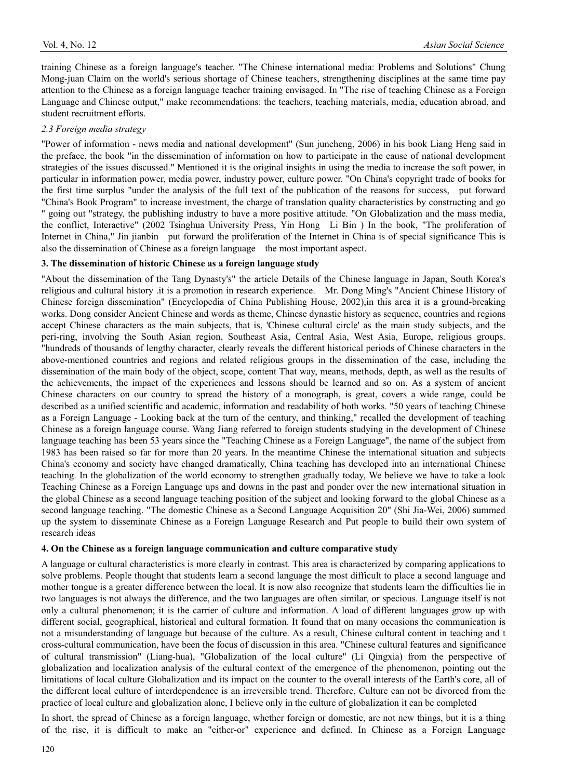training Chinese as a foreign language's teacher. "The Chinese international media: Problems and Solutions" Chung Mong-juan Claim on the world's serious shortage of Chinese teachers, strengthening disciplines at the same time pay attention to the Chinese as a foreign language teacher training envisaged. In "The rise of teaching Chinese as a Foreign Language and Chinese output," make recommendations: the teachers, teaching materials, media, education abroad, and student recruitment efforts.

#### *2.3 Foreign media strategy*

"Power of information - news media and national development" (Sun juncheng, 2006) in his book Liang Heng said in the preface, the book "in the dissemination of information on how to participate in the cause of national development strategies of the issues discussed." Mentioned it is the original insights in using the media to increase the soft power, in particular in information power, media power, industry power, culture power. "On China's copyright trade of books for the first time surplus "under the analysis of the full text of the publication of the reasons for success, put forward "China's Book Program" to increase investment, the charge of translation quality characteristics by constructing and go " going out "strategy, the publishing industry to have a more positive attitude. "On Globalization and the mass media, the conflict, Interactive" (2002 Tsinghua University Press, Yin Hong Li Bin ) In the book, "The proliferation of Internet in China," Jin jianbin put forward the proliferation of the Internet in China is of special significance This is also the dissemination of Chinese as a foreign language the most important aspect.

#### **3. The dissemination of historic Chinese as a foreign language study**

"About the dissemination of the Tang Dynasty's" the article Details of the Chinese language in Japan, South Korea's religious and cultural history .it is a promotion in research experience. Mr. Dong Ming's "Ancient Chinese History of Chinese foreign dissemination" (Encyclopedia of China Publishing House, 2002),in this area it is a ground-breaking works. Dong consider Ancient Chinese and words as theme, Chinese dynastic history as sequence, countries and regions accept Chinese characters as the main subjects, that is, 'Chinese cultural circle' as the main study subjects, and the peri-ring, involving the South Asian region, Southeast Asia, Central Asia, West Asia, Europe, religious groups. "hundreds of thousands of lengthy character, clearly reveals the different historical periods of Chinese characters in the above-mentioned countries and regions and related religious groups in the dissemination of the case, including the dissemination of the main body of the object, scope, content That way, means, methods, depth, as well as the results of the achievements, the impact of the experiences and lessons should be learned and so on. As a system of ancient Chinese characters on our country to spread the history of a monograph, is great, covers a wide range, could be described as a unified scientific and academic, information and readability of both works. "50 years of teaching Chinese as a Foreign Language - Looking back at the turn of the century, and thinking," recalled the development of teaching Chinese as a foreign language course. Wang Jiang referred to foreign students studying in the development of Chinese language teaching has been 53 years since the "Teaching Chinese as a Foreign Language", the name of the subject from 1983 has been raised so far for more than 20 years. In the meantime Chinese the international situation and subjects China's economy and society have changed dramatically, China teaching has developed into an international Chinese teaching. In the globalization of the world economy to strengthen gradually today, We believe we have to take a look Teaching Chinese as a Foreign Language ups and downs in the past and ponder over the new international situation in the global Chinese as a second language teaching position of the subject and looking forward to the global Chinese as a second language teaching. "The domestic Chinese as a Second Language Acquisition 20" (Shi Jia-Wei, 2006) summed up the system to disseminate Chinese as a Foreign Language Research and Put people to build their own system of research ideas

#### **4. On the Chinese as a foreign language communication and culture comparative study**

A language or cultural characteristics is more clearly in contrast. This area is characterized by comparing applications to solve problems. People thought that students learn a second language the most difficult to place a second language and mother tongue is a greater difference between the local. It is now also recognize that students learn the difficulties lie in two languages is not always the difference, and the two languages are often similar, or specious. Language itself is not only a cultural phenomenon; it is the carrier of culture and information. A load of different languages grow up with different social, geographical, historical and cultural formation. It found that on many occasions the communication is not a misunderstanding of language but because of the culture. As a result, Chinese cultural content in teaching and t cross-cultural communication, have been the focus of discussion in this area. "Chinese cultural features and significance of cultural transmission" (Liang-hua), "Globalization of the local culture" (Li Qingxia) from the perspective of globalization and localization analysis of the cultural context of the emergence of the phenomenon, pointing out the limitations of local culture Globalization and its impact on the counter to the overall interests of the Earth's core, all of the different local culture of interdependence is an irreversible trend. Therefore, Culture can not be divorced from the practice of local culture and globalization alone, I believe only in the culture of globalization it can be completed

In short, the spread of Chinese as a foreign language, whether foreign or domestic, are not new things, but it is a thing of the rise, it is difficult to make an "either-or" experience and defined. In Chinese as a Foreign Language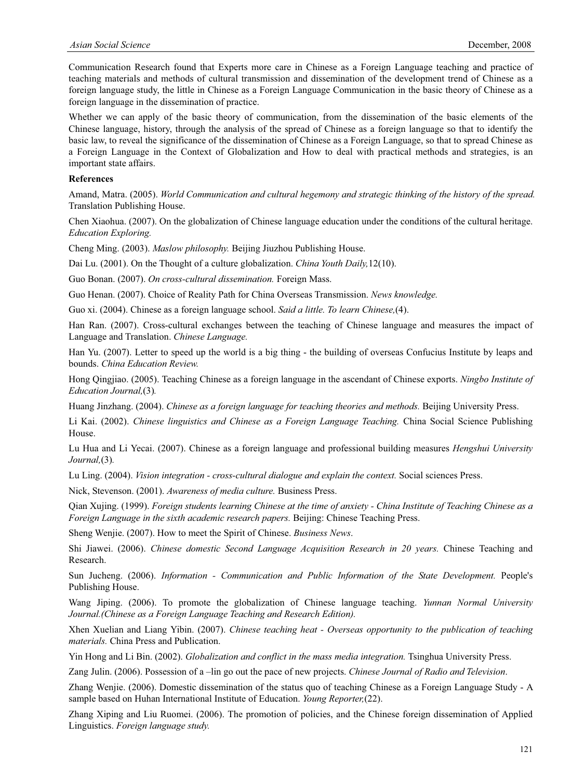Communication Research found that Experts more care in Chinese as a Foreign Language teaching and practice of teaching materials and methods of cultural transmission and dissemination of the development trend of Chinese as a foreign language study, the little in Chinese as a Foreign Language Communication in the basic theory of Chinese as a foreign language in the dissemination of practice.

Whether we can apply of the basic theory of communication, from the dissemination of the basic elements of the Chinese language, history, through the analysis of the spread of Chinese as a foreign language so that to identify the basic law, to reveal the significance of the dissemination of Chinese as a Foreign Language, so that to spread Chinese as a Foreign Language in the Context of Globalization and How to deal with practical methods and strategies, is an important state affairs.

## **References**

Amand, Matra. (2005). *World Communication and cultural hegemony and strategic thinking of the history of the spread.* Translation Publishing House.

Chen Xiaohua. (2007). On the globalization of Chinese language education under the conditions of the cultural heritage. *Education Exploring.* 

Cheng Ming. (2003). *Maslow philosophy.* Beijing Jiuzhou Publishing House.

Dai Lu. (2001). On the Thought of a culture globalization. *China Youth Daily,*12(10).

Guo Bonan. (2007). *On cross-cultural dissemination.* Foreign Mass.

Guo Henan. (2007). Choice of Reality Path for China Overseas Transmission. *News knowledge.*

Guo xi. (2004). Chinese as a foreign language school. *Said a little. To learn Chinese,*(4).

Han Ran. (2007). Cross-cultural exchanges between the teaching of Chinese language and measures the impact of Language and Translation. *Chinese Language.*

Han Yu. (2007). Letter to speed up the world is a big thing - the building of overseas Confucius Institute by leaps and bounds. *China Education Review.*

Hong Qingjiao. (2005). Teaching Chinese as a foreign language in the ascendant of Chinese exports. *Ningbo Institute of Education Journal,*(3)*.*

Huang Jinzhang. (2004). *Chinese as a foreign language for teaching theories and methods.* Beijing University Press.

Li Kai. (2002). *Chinese linguistics and Chinese as a Foreign Language Teaching.* China Social Science Publishing House.

Lu Hua and Li Yecai. (2007). Chinese as a foreign language and professional building measures *Hengshui University Journal,*(3)*.*

Lu Ling. (2004). *Vision integration - cross-cultural dialogue and explain the context.* Social sciences Press.

Nick, Stevenson. (2001). *Awareness of media culture.* Business Press.

Qian Xujing. (1999). *Foreign students learning Chinese at the time of anxiety - China Institute of Teaching Chinese as a Foreign Language in the sixth academic research papers.* Beijing: Chinese Teaching Press.

Sheng Wenjie. (2007). How to meet the Spirit of Chinese. *Business News*.

Shi Jiawei. (2006). *Chinese domestic Second Language Acquisition Research in 20 years.* Chinese Teaching and Research.

Sun Jucheng. (2006). *Information - Communication and Public Information of the State Development.* People's Publishing House.

Wang Jiping. (2006). To promote the globalization of Chinese language teaching. *Yunnan Normal University Journal.(Chinese as a Foreign Language Teaching and Research Edition).*

Xhen Xuelian and Liang Yibin. (2007). *Chinese teaching heat - Overseas opportunity to the publication of teaching materials.* China Press and Publication.

Yin Hong and Li Bin. (2002). *Globalization and conflict in the mass media integration.* Tsinghua University Press.

Zang Julin. (2006). Possession of a –lin go out the pace of new projects. *Chinese Journal of Radio and Television*.

Zhang Wenjie. (2006). Domestic dissemination of the status quo of teaching Chinese as a Foreign Language Study - A sample based on Huhan International Institute of Education. *Young Reporter,*(22).

Zhang Xiping and Liu Ruomei. (2006). The promotion of policies, and the Chinese foreign dissemination of Applied Linguistics. *Foreign language study.*